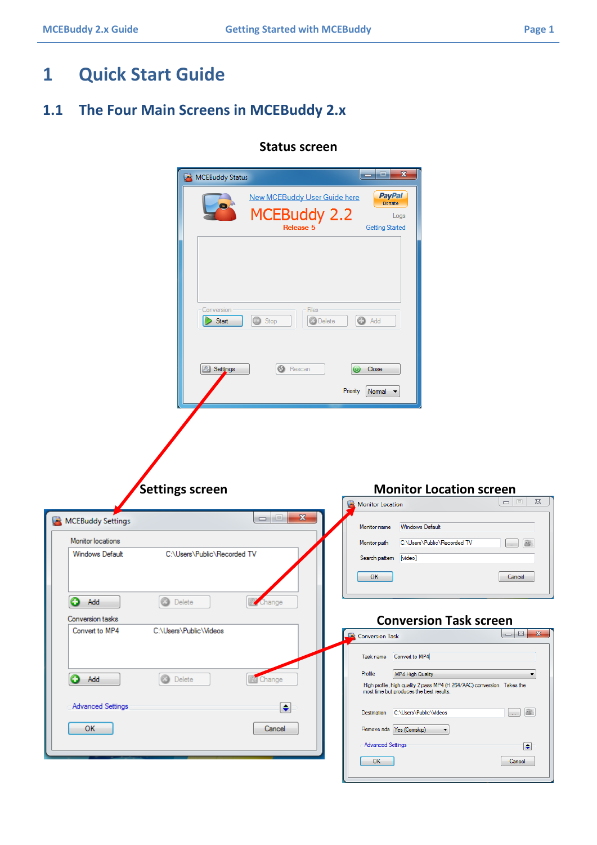# **1 Quick Start Guide**

### **1.1 The Four Main Screens in MCEBuddy 2.x**

|                                    | MCEBuddy Status                                                                                                                 | أتقاده<br>$\mathbf{x}$                                                                                                                             |                                                          |
|------------------------------------|---------------------------------------------------------------------------------------------------------------------------------|----------------------------------------------------------------------------------------------------------------------------------------------------|----------------------------------------------------------|
|                                    | New MCEBuddy User Guide here<br>MCEBuddy 2.2<br>Release 5                                                                       | <b>PayPal</b><br>Donate<br>Logs<br><b>Getting Started</b>                                                                                          |                                                          |
|                                    | Conversion<br>$\circledcirc$<br>Stop<br>Start                                                                                   | Files<br><b>O</b> Delete<br><b>O</b> Add                                                                                                           |                                                          |
|                                    | <b>6</b> Rescan<br>8 Settings                                                                                                   | Close<br>Priority<br>Normal $\blacktriangledown$                                                                                                   |                                                          |
|                                    |                                                                                                                                 |                                                                                                                                                    |                                                          |
|                                    |                                                                                                                                 |                                                                                                                                                    |                                                          |
|                                    | <b>Settings screen</b>                                                                                                          | <b>Monitor Location screen</b>                                                                                                                     |                                                          |
|                                    |                                                                                                                                 | Monitor Location                                                                                                                                   | $\Box$<br>$\Sigma\!3$                                    |
| MCEBuddy Settings                  | $\begin{array}{c c c c c} \hline \multicolumn{3}{c }{\textbf{0}} & \multicolumn{3}{c }{\textbf{0}} \end{array}$<br>$\mathbf{x}$ | <b>Windows Default</b><br>Monitor name                                                                                                             |                                                          |
| Monitor locations                  |                                                                                                                                 | C:\Users\Public\Recorded TV<br>Monitor path                                                                                                        | 舉<br>$\left[\begin{array}{cc} \ldots \end{array}\right]$ |
| <b>Windows Default</b>             | C:\Users\Public\Recorded TV                                                                                                     | Search pattern<br>[video]<br>OK                                                                                                                    | Cancel                                                   |
|                                    |                                                                                                                                 |                                                                                                                                                    |                                                          |
| 0<br>Add                           | 0<br>Delete<br>Change                                                                                                           |                                                                                                                                                    |                                                          |
| Conversion tasks<br>Convert to MP4 | C:\Users\Public\Videos                                                                                                          | <b>Conversion Task screen</b>                                                                                                                      |                                                          |
|                                    |                                                                                                                                 | <b>Conversion Task</b>                                                                                                                             |                                                          |
|                                    |                                                                                                                                 | Convert to MP4<br>Task name                                                                                                                        |                                                          |
| 0<br>Add                           | <b>3</b> Delete<br>图 Change                                                                                                     | Profile<br>MP4 High Quality<br>High profile, high quality 2 pass MP4 (H.264/AAC) conversion. Takes the<br>most time but produces the best results. | $\blacktriangledown$                                     |
| <b>Advanced Settings</b>           | $\left  \bullet \right $                                                                                                        | Destination C:\Users\Public\Videos                                                                                                                 | 용<br>المناز                                              |
| OK                                 | Cancel                                                                                                                          | Remove ads Yes (Comskip)<br>$\blacktriangledown$                                                                                                   |                                                          |
|                                    |                                                                                                                                 | <b>Advanced Settings</b>                                                                                                                           | $\left  \bullet \right $                                 |

#### **Status screen**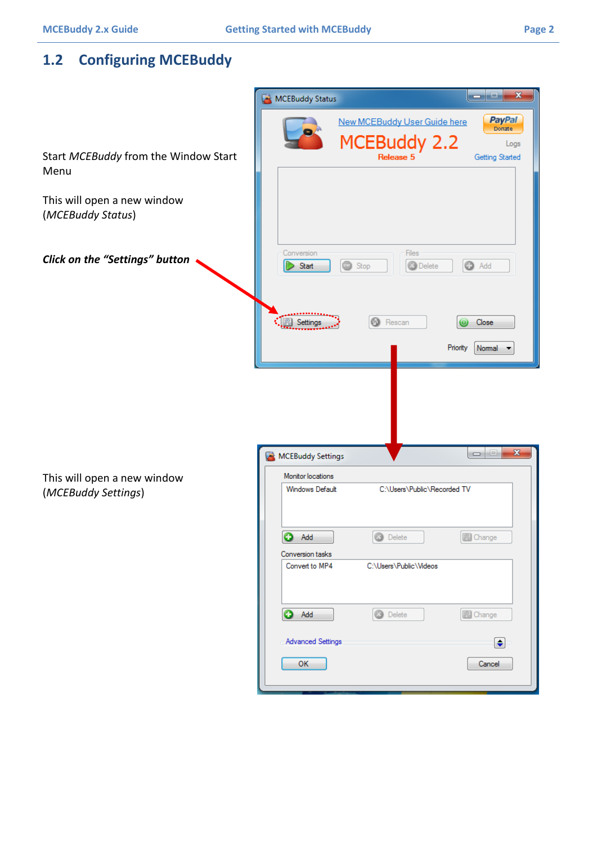## **1.2 Configuring MCEBuddy**

|                                                    | $\mathbf{x}$<br>المارد<br>MCEBuddy Status                                                                                                            |
|----------------------------------------------------|------------------------------------------------------------------------------------------------------------------------------------------------------|
| Start MCEBuddy from the Window Start<br>Menu       | <b>PayPal</b><br><b>New MCEBuddy User Guide here</b><br>Donate<br>MCEBuddy 2.2<br>Logs<br>Getting Started                                            |
| This will open a new window<br>(MCEBuddy Status)   |                                                                                                                                                      |
| Click on the "Settings" button                     | Files<br>Conversion<br><b>O</b> Delete<br><b>B</b> Add<br>Start<br>Stop                                                                              |
|                                                    | Settings<br>Rescan<br>Close<br>Priority<br>Normal                                                                                                    |
|                                                    | $\mathbf{x}$<br>$\begin{array}{c c c c c} \hline \multicolumn{3}{c }{\textbf{0}} & \multicolumn{3}{c }{\textbf{0}} \end{array}$<br>MCEBuddy Settings |
|                                                    | Monitor locations                                                                                                                                    |
| This will open a new window<br>(MCEBuddy Settings) | <b>Windows Default</b><br>C:\Users\Public\Recorded TV                                                                                                |
|                                                    | $\bullet$ Add $\bullet$<br><b>O</b> Delete<br><b>B</b> Change                                                                                        |
|                                                    | Conversion tasks<br>C:\Users\Public\Videos<br>Convert to MP4                                                                                         |
|                                                    | <b>O</b> Add<br>图 Change<br>Ø.<br>Delete                                                                                                             |
|                                                    | <b>Advanced Settings</b><br>$\bullet$                                                                                                                |
|                                                    | OK<br>Cancel                                                                                                                                         |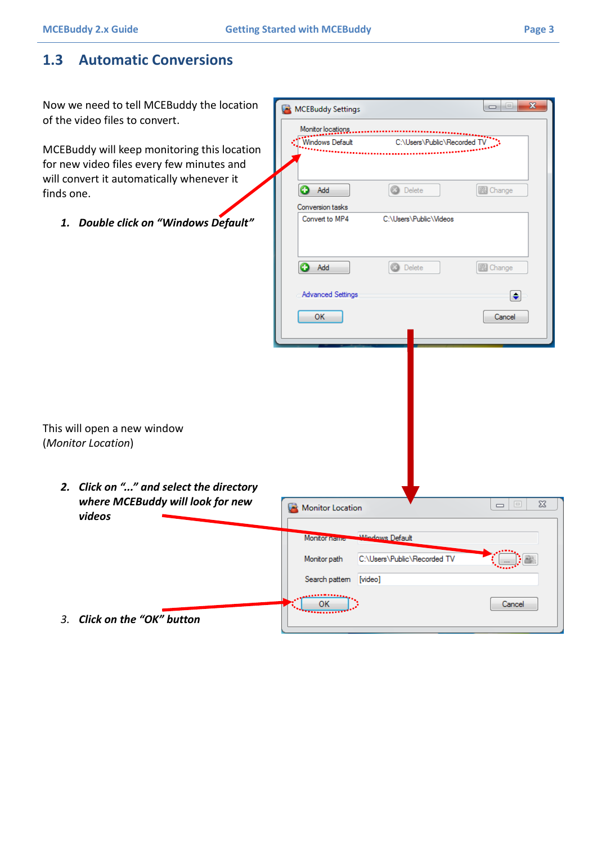### **1.3 Automatic Conversions**

| Now we need to tell MCEBuddy the location<br>of the video files to convert.            | MCEBuddy Settings                               | $\mathbf{x}$<br>$\Box$ e                              |
|----------------------------------------------------------------------------------------|-------------------------------------------------|-------------------------------------------------------|
|                                                                                        | Monitor locations                               |                                                       |
| MCEBuddy will keep monitoring this location                                            | Windows Default<br>C:\Users\Public\Recorded TV  |                                                       |
| for new video files every few minutes and<br>will convert it automatically whenever it |                                                 |                                                       |
| finds one.                                                                             | 0<br><b>3</b> Delete<br>Add<br>Conversion tasks | 图 Change                                              |
| 1. Double click on "Windows Default"                                                   | C:\Users\Public\Videos<br>Convert to MP4        |                                                       |
|                                                                                        | 0<br>Add<br>o<br>Delete                         | 图 Change                                              |
|                                                                                        | <b>Advanced Settings</b>                        | $\ddot{\bullet}$                                      |
|                                                                                        | ОΚ                                              | Cancel                                                |
|                                                                                        |                                                 |                                                       |
|                                                                                        |                                                 |                                                       |
|                                                                                        |                                                 |                                                       |
| This will open a new window<br>(Monitor Location)                                      |                                                 |                                                       |
|                                                                                        |                                                 |                                                       |
| 2. Click on "" and select the directory<br>where MCEBuddy will look for new            | Monitor Location                                | $\Sigma$<br>$\boxed{\square}$<br>$\qquad \qquad \Box$ |
| videos                                                                                 |                                                 |                                                       |
|                                                                                        | Windows Default<br><b>Monitor name</b>          |                                                       |
|                                                                                        | C:\Users\Public\Recorded TV<br>Monitor path     |                                                       |
|                                                                                        | Search pattern<br>[video]                       |                                                       |
|                                                                                        |                                                 | Cancel                                                |
| 3. Click on the "OK" button                                                            |                                                 |                                                       |

П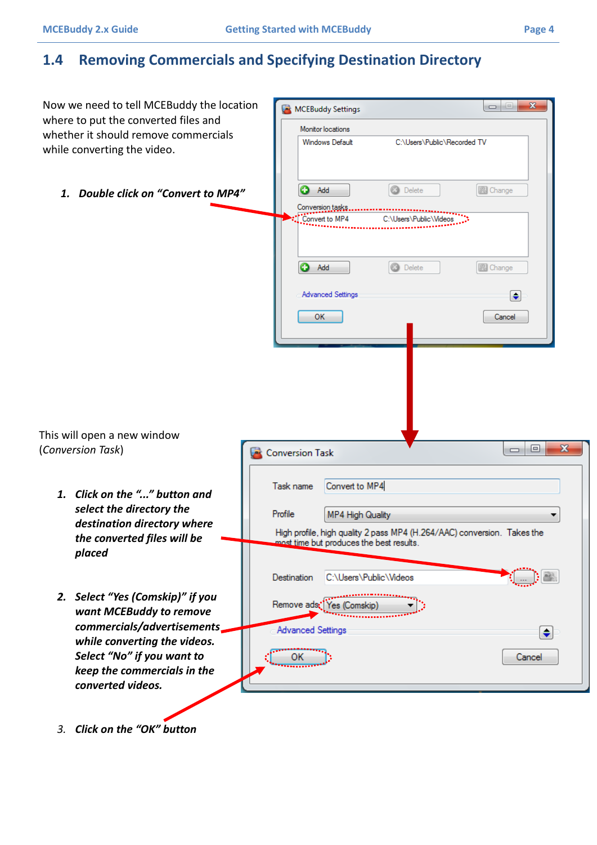### **1.4 Removing Commercials and Specifying Destination Directory**

| Now we need to tell MCEBuddy the location                                                                      | $\mathbf{x}$<br>$\Box$ e<br>MCEBuddy Settings                                                                       |  |
|----------------------------------------------------------------------------------------------------------------|---------------------------------------------------------------------------------------------------------------------|--|
| where to put the converted files and                                                                           | Monitor locations                                                                                                   |  |
| whether it should remove commercials<br>while converting the video.                                            | <b>Windows Default</b><br>C:\Users\Public\Recorded TV                                                               |  |
| 1. Double click on "Convert to MP4"                                                                            | <b>3</b> Delete<br>o<br>图 Change<br>Add<br>Conversion tasks<br>Convert to MP4<br>C:\Users\Public\Videos             |  |
|                                                                                                                | €<br><b>3</b> Delete<br>图 Change<br>Add                                                                             |  |
|                                                                                                                | <b>Advanced Settings</b><br>$\left  \bullet \right $<br>ок<br>Cancel                                                |  |
| This will open a new window<br>(Conversion Task)                                                               | $\mathbf{x}$<br>o<br>$\Box$                                                                                         |  |
|                                                                                                                | <b>Conversion Task</b>                                                                                              |  |
| 1. Click on the "" button and<br>select the directory the                                                      | Convert to MP4<br>Task name<br>Profile<br>MP4 High Quality                                                          |  |
| destination directory where<br>the converted files will be<br>placed                                           | High profile, high quality 2 pass MP4 (H.264/AAC) conversion. Takes the<br>most time but produces the best results. |  |
| 2. Select "Yes (Comskip)" if you                                                                               | C:\Users\Public\Videos<br>Destination                                                                               |  |
| want MCEBuddy to remove<br>commercials/advertisements                                                          | Remove ads: Yes (Comskip)<br><b>Advanced Settings</b><br>$\div$                                                     |  |
| while converting the videos.<br>Select "No" if you want to<br>keep the commercials in the<br>converted videos. | Cancel                                                                                                              |  |
|                                                                                                                |                                                                                                                     |  |

*3. Click on the "OK" button*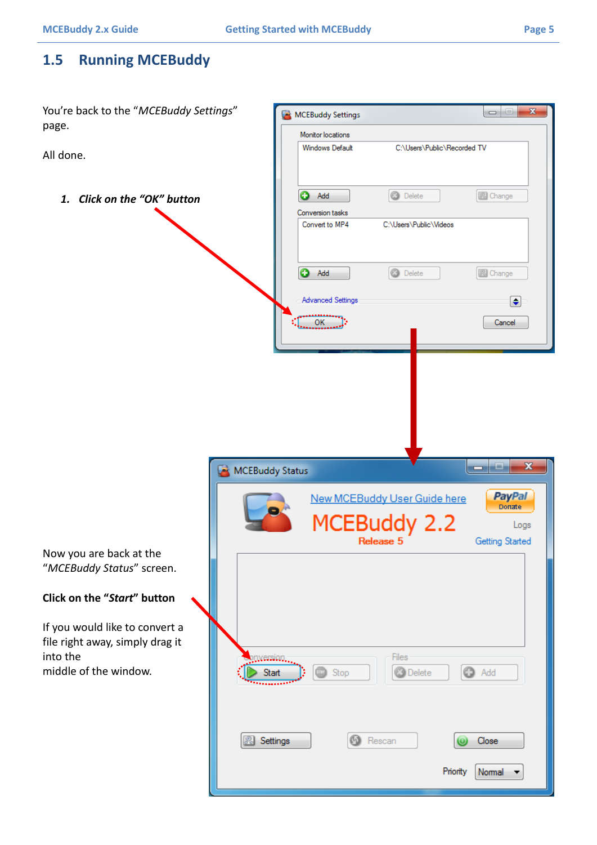### **1.5 Running MCEBuddy**

You're back to the "*MCEBuddy Settings*"  $\mathbf{x}$ MCEBuddy Settings  $\begin{array}{c|c|c|c|c|c} \hline \multicolumn{3}{c|}{\textbf{a}} & \multicolumn{3}{c|}{\textbf{b}} \\ \hline \multicolumn{3}{c|}{\textbf{b}} & \multicolumn{3}{c|}{\textbf{c}} & \multicolumn{3}{c|}{\textbf{c}} \\ \hline \multicolumn{3}{c|}{\textbf{b}} & \multicolumn{3}{c|}{\textbf{c}} & \multicolumn{3}{c|}{\textbf{c}} \\ \hline \multicolumn{3}{c|}{\textbf{b}} & \multicolumn{3}{c|}{\textbf{b}} & \multicolumn{3}{c|}{\textbf{c}} \\ \hline \$ page. Monitor locations **Windows Default** C:\Users\Public\Recorded TV All done. **O** Add **3** Delete **B** Change *1. Click on the "OK" button* Conversion tasks Convert to MP4 C:\Users\Public\Videos **O** Add **O** Delete 图 Change **Advanced Settings**  $\bigodot$  $OK$ Cancel  $\overline{\mathbf{x}}$ مناد MCEBuddy Status **PayPal New MCEBuddy User Guide here** Donate **EBuddy 2.2** Logs Release 5 Getting Started Now you are back at the "*MCEBuddy Status*" screen. **Click on the "***Start***" button** If you would like to convert a file right away, simply drag it into the Files nversion. middle of the window.**O** Delete **O** Add Start Stop **6** Rescan **&** Settings Close Priority Normal  $\overline{\phantom{a}}$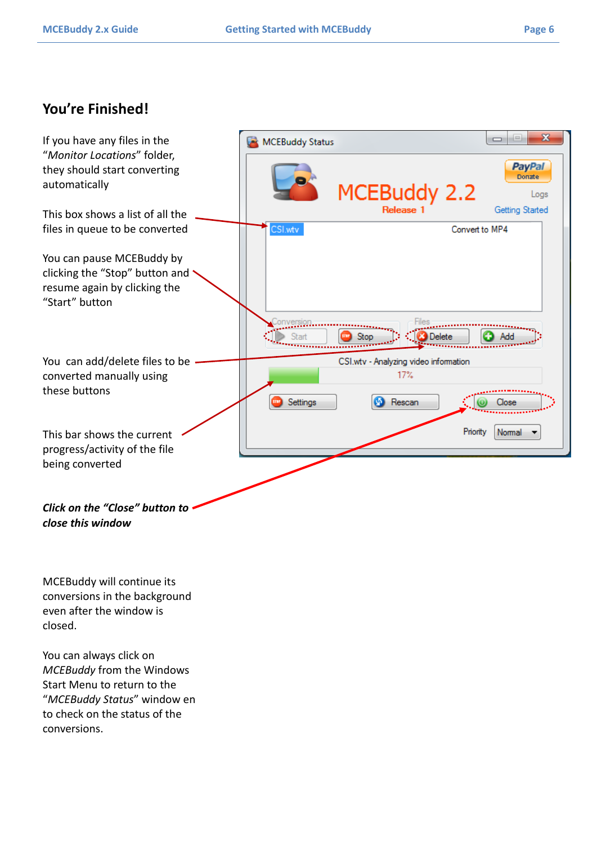### **You're Finished!**



MCEBuddy will continue its conversions in the background even after the window is closed.

You can always click on *MCEBuddy* from the Windows Start Menu to return to the "*MCEBuddy Status*" window en to check on the status of the conversions.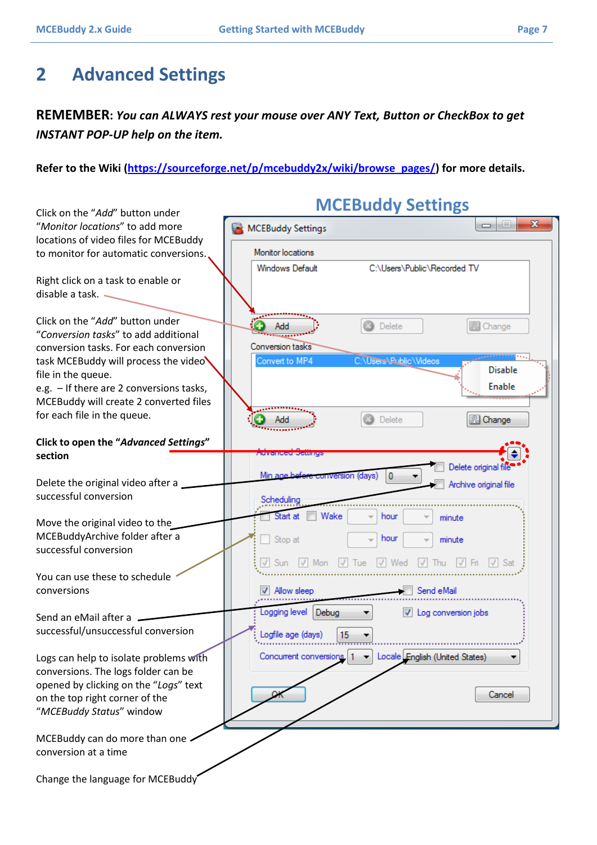## **2 Advanced Settings**

#### **REMEMBER:** *You can ALWAYS rest your mouse over ANY Text, Button or CheckBox to get INSTANT POP-UP help on the item.*

#### **Refer to the Wiki [\(https://sourceforge.net/p/mcebuddy2x/wiki/browse\\_pages/\)](https://sourceforge.net/p/mcebuddy2x/wiki/browse_pages/) for more details.**

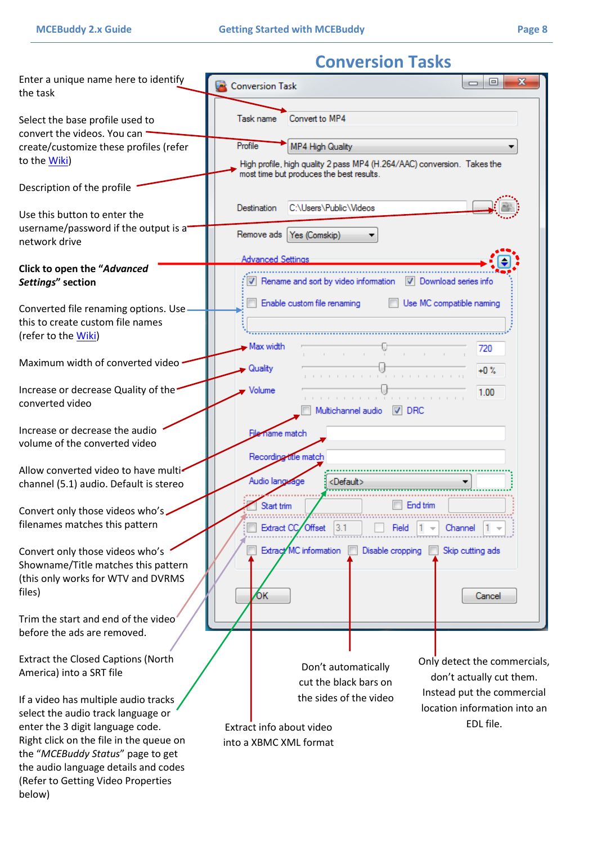## **Conversion Tasks**

| Enter a unique name here to identify<br>the task                                                                                                                                                                                                                                       | Conversion Task                                                                                                                                         |
|----------------------------------------------------------------------------------------------------------------------------------------------------------------------------------------------------------------------------------------------------------------------------------------|---------------------------------------------------------------------------------------------------------------------------------------------------------|
| Select the base profile used to<br>convert the videos. You can                                                                                                                                                                                                                         | Convert to MP4<br>Task name                                                                                                                             |
| create/customize these profiles (refer<br>to the Wiki)                                                                                                                                                                                                                                 | Profile<br>MP4 High Quality<br>High profile, high quality 2 pass MP4 (H.264/AAC) conversion. Takes the                                                  |
| Description of the profile                                                                                                                                                                                                                                                             | most time but produces the best results.                                                                                                                |
| Use this button to enter the<br>username/password if the output is a                                                                                                                                                                                                                   | C:\Users\Public\Videos<br>Destination                                                                                                                   |
| network drive                                                                                                                                                                                                                                                                          | Remove ads   Yes (Comskip)                                                                                                                              |
| Click to open the "Advanced<br>Settings" section                                                                                                                                                                                                                                       | <b>Advanced Settings</b><br>Rename and sort by video information<br>Download series info                                                                |
| Converted file renaming options. Use<br>this to create custom file names<br>(refer to the Wiki)                                                                                                                                                                                        | Enable custom file renaming<br>Use MC compatible naming<br>Max width<br>720                                                                             |
| Maximum width of converted video                                                                                                                                                                                                                                                       | <b>Quality</b><br>$+0.%$                                                                                                                                |
| Increase or decrease Quality of the<br>converted video                                                                                                                                                                                                                                 | Volume<br>1.00<br>Multichannel audio<br>$ V $ DRC                                                                                                       |
| Increase or decrease the audio<br>volume of the converted video                                                                                                                                                                                                                        | name match<br>Recording title match                                                                                                                     |
| Allow converted video to have multi-<br>channel (5.1) audio. Default is stereo                                                                                                                                                                                                         | Audio language<br><default></default>                                                                                                                   |
| Convert only those videos who's.<br>filenames matches this pattern                                                                                                                                                                                                                     | End trim<br>Start trim<br>Extract CC Offset<br>Field<br>Channel                                                                                         |
| Convert only those videos who's<br>Showname/Title matches this pattern<br>(this only works for WTV and DVRMS<br>files)                                                                                                                                                                 | Extract MC information<br>Disable cropping<br>Skip cutting ads<br>ÓК<br>Cancel                                                                          |
| Trim the start and end of the video<br>before the ads are removed.                                                                                                                                                                                                                     |                                                                                                                                                         |
| <b>Extract the Closed Captions (North</b><br>America) into a SRT file                                                                                                                                                                                                                  | Only detect the commercials,<br>Don't automatically<br>don't actually cut them.<br>cut the black bars on                                                |
| If a video has multiple audio tracks<br>select the audio track language or<br>enter the 3 digit language code.<br>Right click on the file in the queue on<br>the "MCEBuddy Status" page to get<br>the audio language details and codes<br>(Refer to Getting Video Properties<br>below) | Instead put the commercial<br>the sides of the video<br>location information into an<br>EDL file.<br>Extract info about video<br>into a XBMC XML format |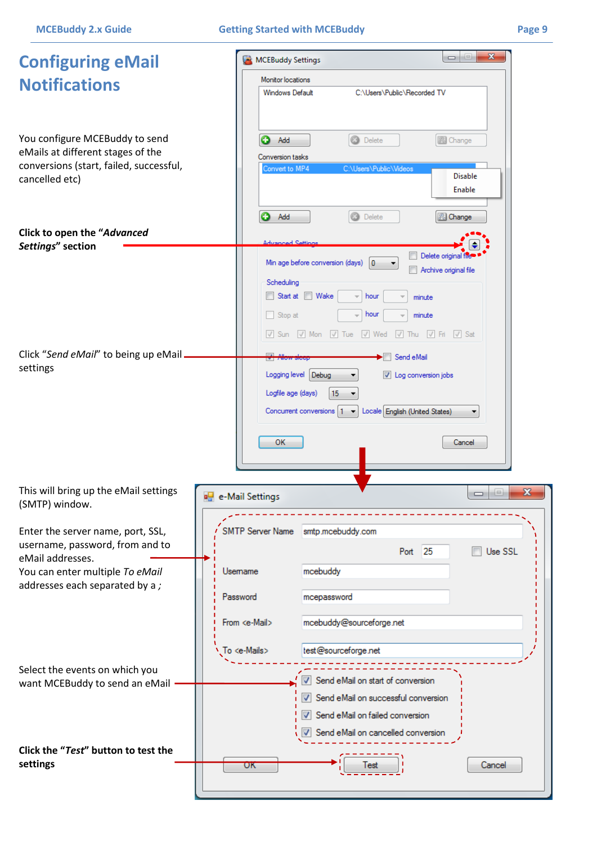| <b>Configuring eMail</b>                                            | $\begin{array}{c c c c c} \hline \multicolumn{3}{c }{\textbf{0}} & \multicolumn{3}{c }{\textbf{0}} \\\hline \multicolumn{3}{c }{\textbf{0}} & \multicolumn{3}{c }{\textbf{0}} \end{array}$<br>$\mathbf{x}$<br>MCEBuddy Settings |
|---------------------------------------------------------------------|---------------------------------------------------------------------------------------------------------------------------------------------------------------------------------------------------------------------------------|
| <b>Notifications</b>                                                | Monitor locations                                                                                                                                                                                                               |
|                                                                     | <b>Windows Default</b><br>C:\Users\Public\Recorded TV                                                                                                                                                                           |
| You configure MCEBuddy to send<br>eMails at different stages of the | <b>3</b> Delete<br>O<br>图 Change<br>Add                                                                                                                                                                                         |
| conversions (start, failed, successful,                             | Conversion tasks<br>Convert to MP4<br>C:\Users\Public\Videos                                                                                                                                                                    |
| cancelled etc)                                                      | <b>Disable</b><br>Enable                                                                                                                                                                                                        |
|                                                                     | Q<br>O<br>Add<br>Delete<br>& Change                                                                                                                                                                                             |
| Click to open the "Advanced                                         |                                                                                                                                                                                                                                 |
| Settings" section                                                   | a Car<br>Delete original file                                                                                                                                                                                                   |
|                                                                     | Min age before conversion (days)<br>0<br>Archive original file                                                                                                                                                                  |
|                                                                     | Scheduling<br>Start at Wake<br>hour<br>minute                                                                                                                                                                                   |
|                                                                     | Stop at<br>hour<br>minute                                                                                                                                                                                                       |
|                                                                     | V Sun V Mon V Tue V Wed V Thu V Fri V Sat                                                                                                                                                                                       |
| Click "Send eMail" to being up eMail.                               | $\overline{a}$<br>$\blacktriangleright$ Send eMail                                                                                                                                                                              |
| settings                                                            | Logging level Debug<br>Log conversion jobs                                                                                                                                                                                      |
|                                                                     | Logfile age (days)<br>15                                                                                                                                                                                                        |
|                                                                     | Locale English (United States)<br>Concurrent conversions $ 1 - \mathbf{v} $                                                                                                                                                     |
|                                                                     | OK<br>Cancel                                                                                                                                                                                                                    |
|                                                                     |                                                                                                                                                                                                                                 |
| This will bring up the eMail settings                               | $\mathbf{x}$<br>i=i                                                                                                                                                                                                             |
| (SMTP) window.                                                      | $\Box$<br>e-Mail Settings                                                                                                                                                                                                       |
| Enter the server name, port, SSL,                                   | SMTP Server Name<br>smtp.mcebuddy.com                                                                                                                                                                                           |
| username, password, from and to                                     | Port 25<br>Use SSL                                                                                                                                                                                                              |
| eMail addresses.<br>You can enter multiple To eMail                 | mcebuddy<br>Usemame                                                                                                                                                                                                             |
| addresses each separated by a;                                      | Password<br>mcepassword                                                                                                                                                                                                         |
|                                                                     | mcebuddy@sourceforge.net<br>From <e-mail></e-mail>                                                                                                                                                                              |
|                                                                     |                                                                                                                                                                                                                                 |
|                                                                     | To <e-mails><br/>test@sourceforge.net</e-mails>                                                                                                                                                                                 |
| Select the events on which you<br>want MCEBuddy to send an eMail    | Send eMail on start of conversion<br>J                                                                                                                                                                                          |
|                                                                     | V Send eMail on successful conversion                                                                                                                                                                                           |
|                                                                     | V Send eMail on failed conversion                                                                                                                                                                                               |
|                                                                     | Send eMail on cancelled conversion                                                                                                                                                                                              |
| Click the "Test" button to test the<br>settings                     | Cancel<br>UΚ                                                                                                                                                                                                                    |
|                                                                     |                                                                                                                                                                                                                                 |